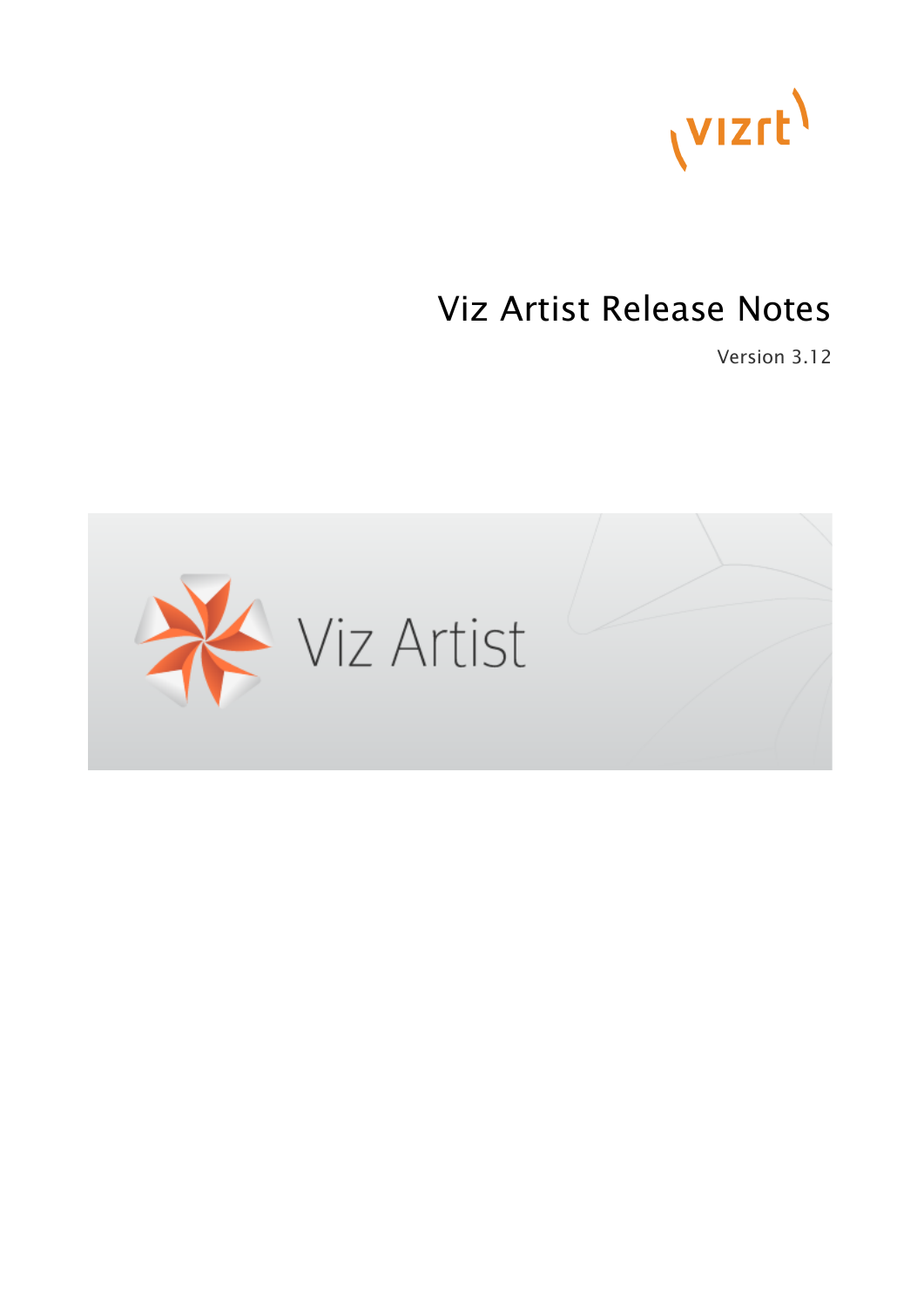

# Viz Artist Release Notes

Version 3.12

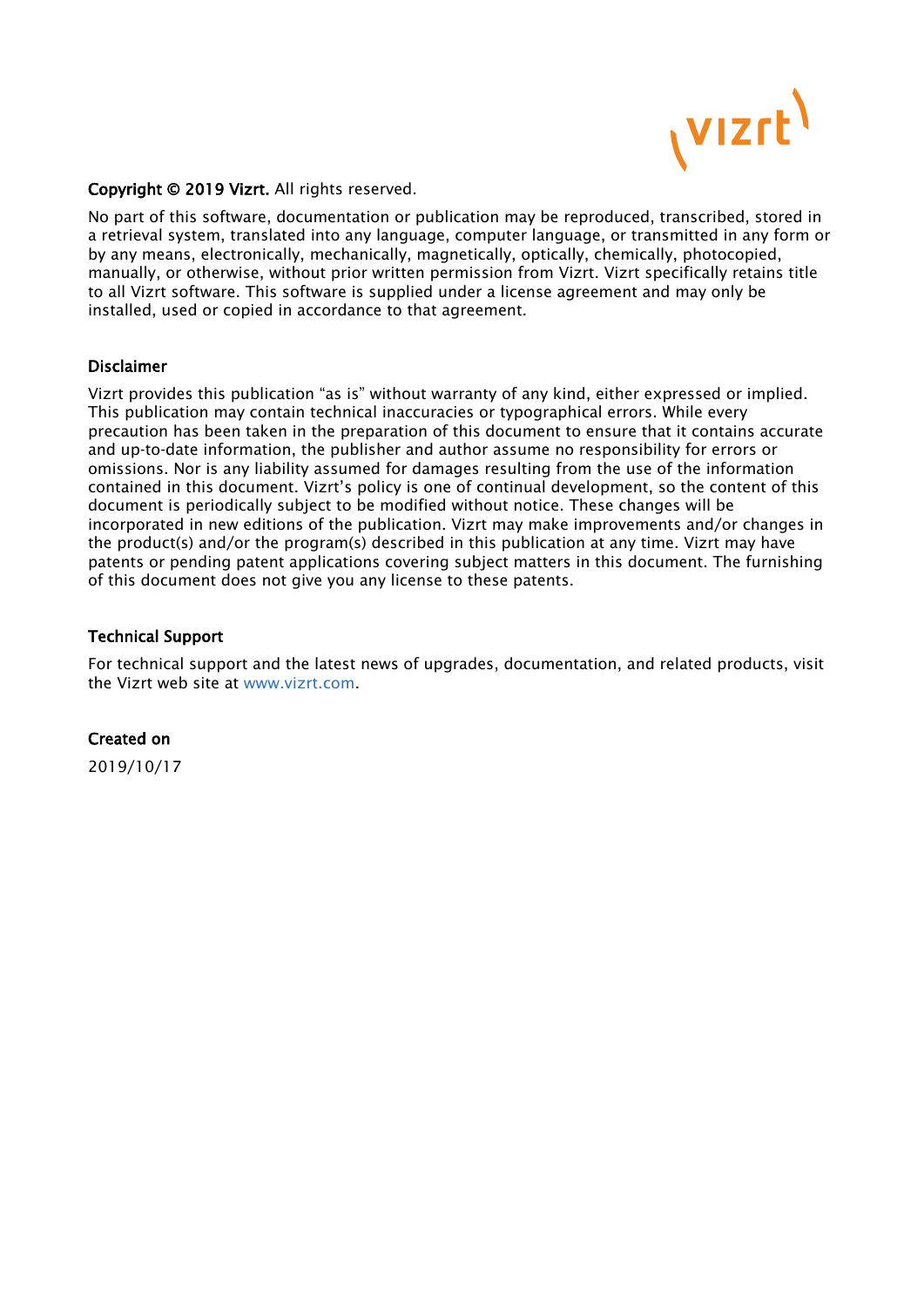

#### Copyright © 2019 Vizrt. All rights reserved.

No part of this software, documentation or publication may be reproduced, transcribed, stored in a retrieval system, translated into any language, computer language, or transmitted in any form or by any means, electronically, mechanically, magnetically, optically, chemically, photocopied, manually, or otherwise, without prior written permission from Vizrt. Vizrt specifically retains title to all Vizrt software. This software is supplied under a license agreement and may only be installed, used or copied in accordance to that agreement.

#### Disclaimer

Vizrt provides this publication "as is" without warranty of any kind, either expressed or implied. This publication may contain technical inaccuracies or typographical errors. While every precaution has been taken in the preparation of this document to ensure that it contains accurate and up-to-date information, the publisher and author assume no responsibility for errors or omissions. Nor is any liability assumed for damages resulting from the use of the information contained in this document. Vizrt's policy is one of continual development, so the content of this document is periodically subject to be modified without notice. These changes will be incorporated in new editions of the publication. Vizrt may make improvements and/or changes in the product(s) and/or the program(s) described in this publication at any time. Vizrt may have patents or pending patent applications covering subject matters in this document. The furnishing of this document does not give you any license to these patents.

#### Technical Support

For technical support and the latest news of upgrades, documentation, and related products, visit the Vizrt web site at [www.vizrt.com.](http://www.vizrt.com)

#### Created on

2019/10/17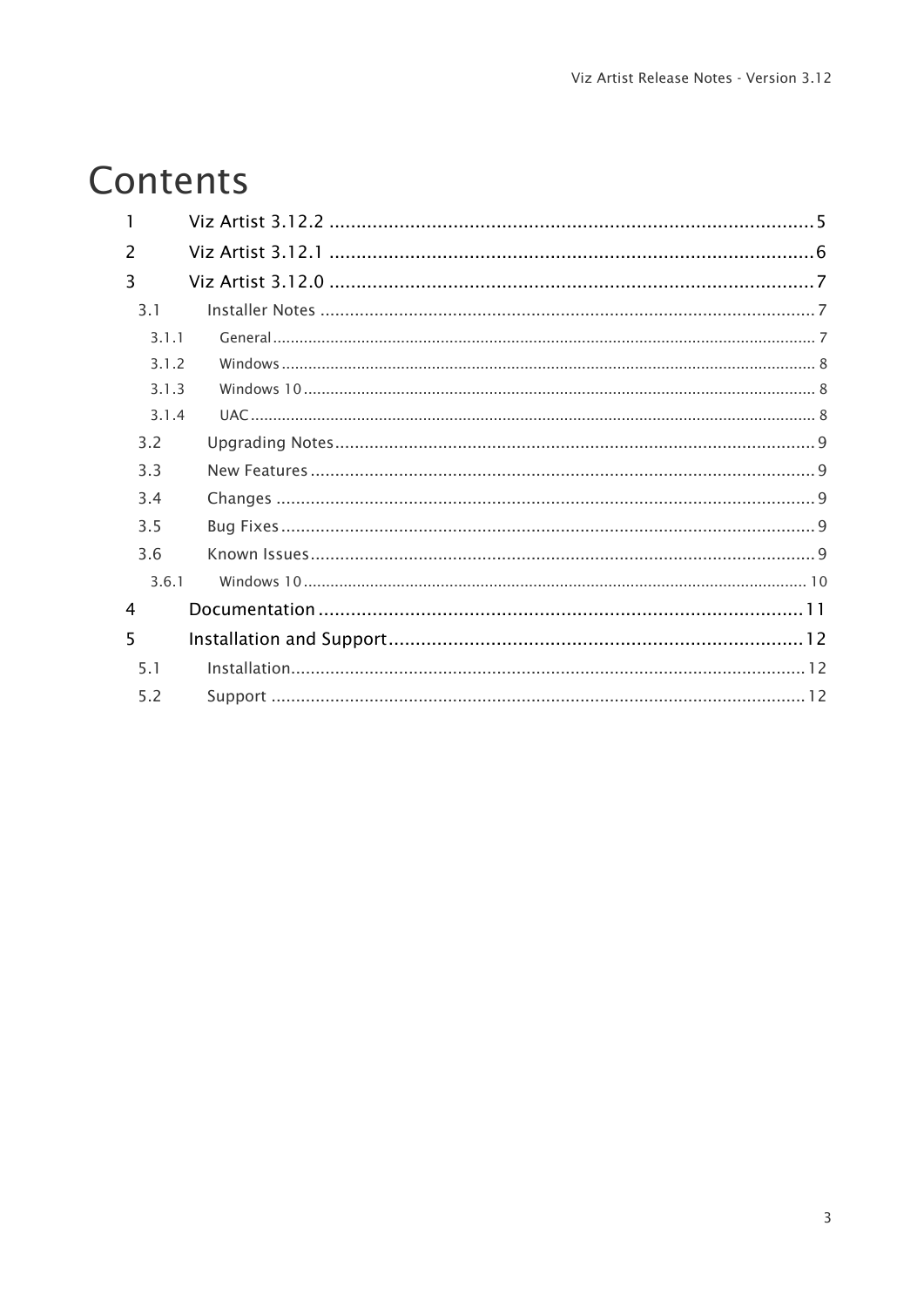# Contents

| $\mathcal{P}$ |  |
|---------------|--|
| 3             |  |
| 3.1           |  |
| 3.1.1         |  |
| 3.1.2         |  |
| 3.1.3         |  |
| 3.1.4         |  |
| 3.2           |  |
| 33            |  |
| 3.4           |  |
| 3.5           |  |
| 3.6           |  |
| 3.6.1         |  |
| 4             |  |
| 5             |  |
| 5.1           |  |
| 5.2           |  |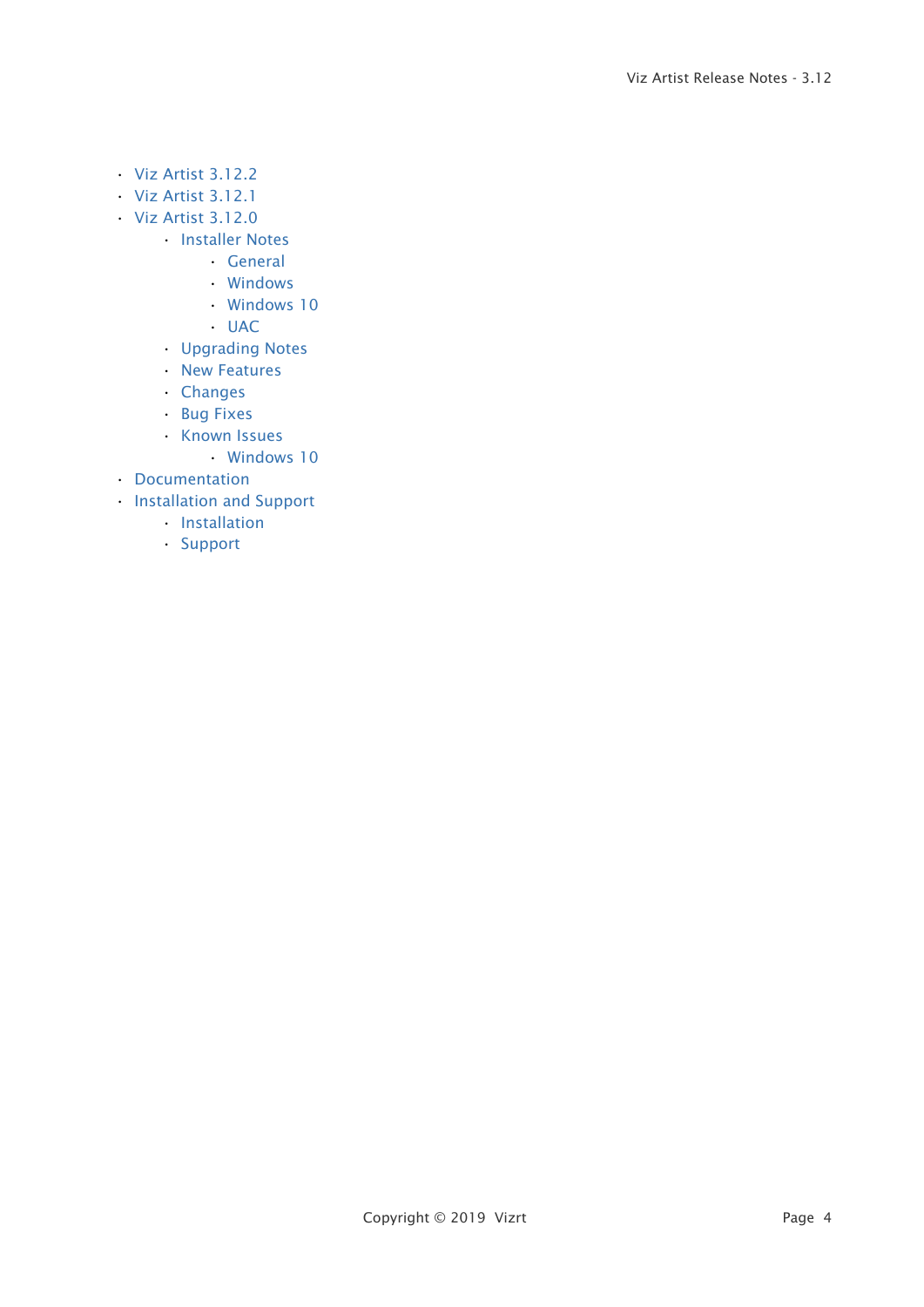- [Viz Artist 3.12.2](#page-4-0)
- [Viz Artist 3.12.1](#page-5-0)
- [Viz Artist 3.12.0](#page-6-0)
	- [Installer Notes](#page-6-1)
		- [General](#page-6-2)
		- [Windows](#page-7-0)
		- [Windows 10](#page-7-1)
		- [UAC](#page-7-2)
	- [Upgrading Notes](#page-8-0)
	- [New Features](#page-8-1)
	- [Changes](#page-8-2)
	- [Bug Fixes](#page-8-3)
	- [Known Issues](#page-8-4)
		- [Windows 10](#page-9-0)
- [Documentation](#page-10-0)
- [Installation and Support](#page-11-0)
	- [Installation](#page-11-1)
	- [Support](#page-11-2)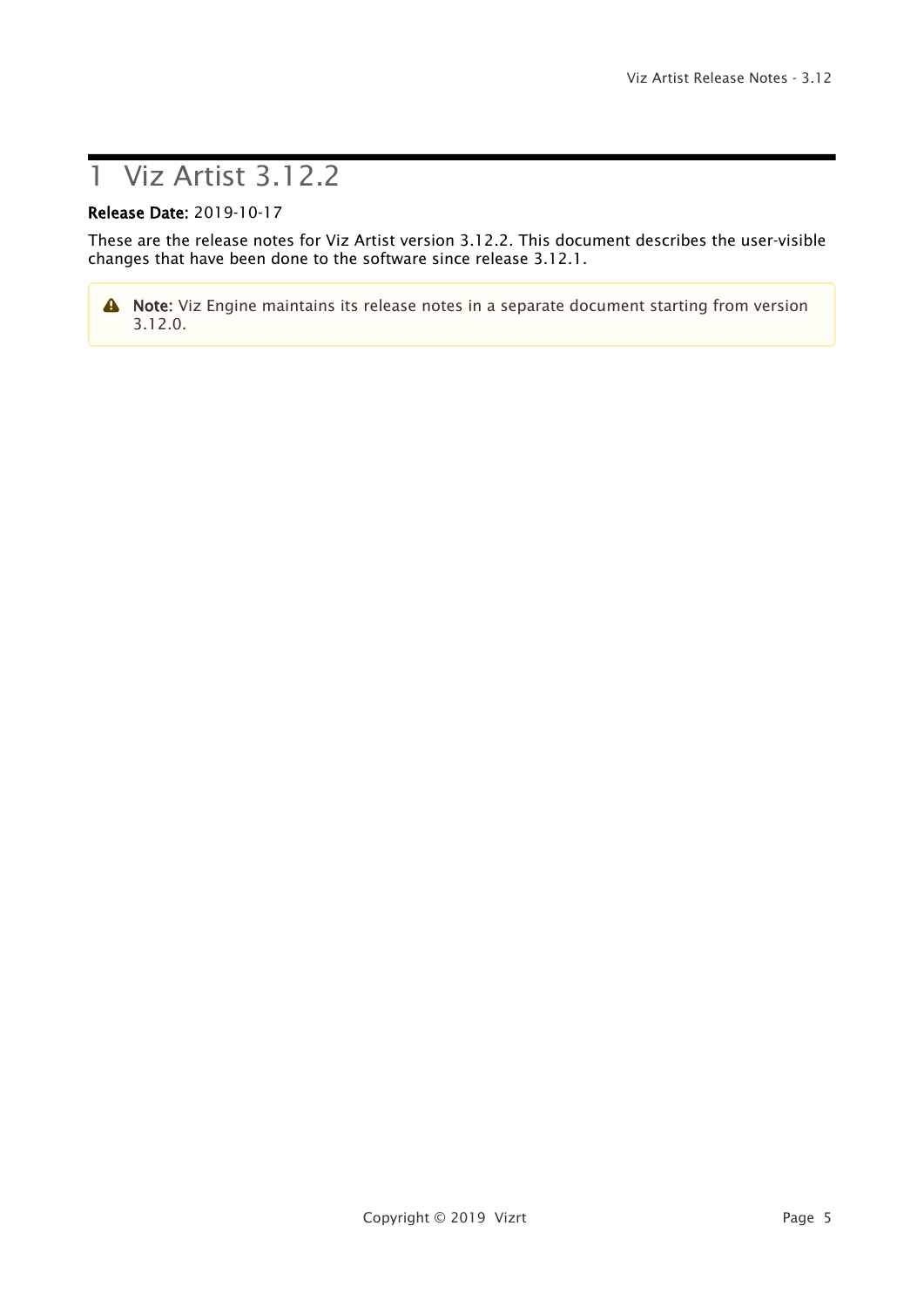# <span id="page-4-0"></span>1 Viz Artist 3.12.2

#### Release Date: 2019-10-17

These are the release notes for Viz Artist version 3.12.2. This document describes the user-visible changes that have been done to the software since release 3.12.1.

A Note: Viz Engine maintains its release notes in a separate document starting from version 3.12.0.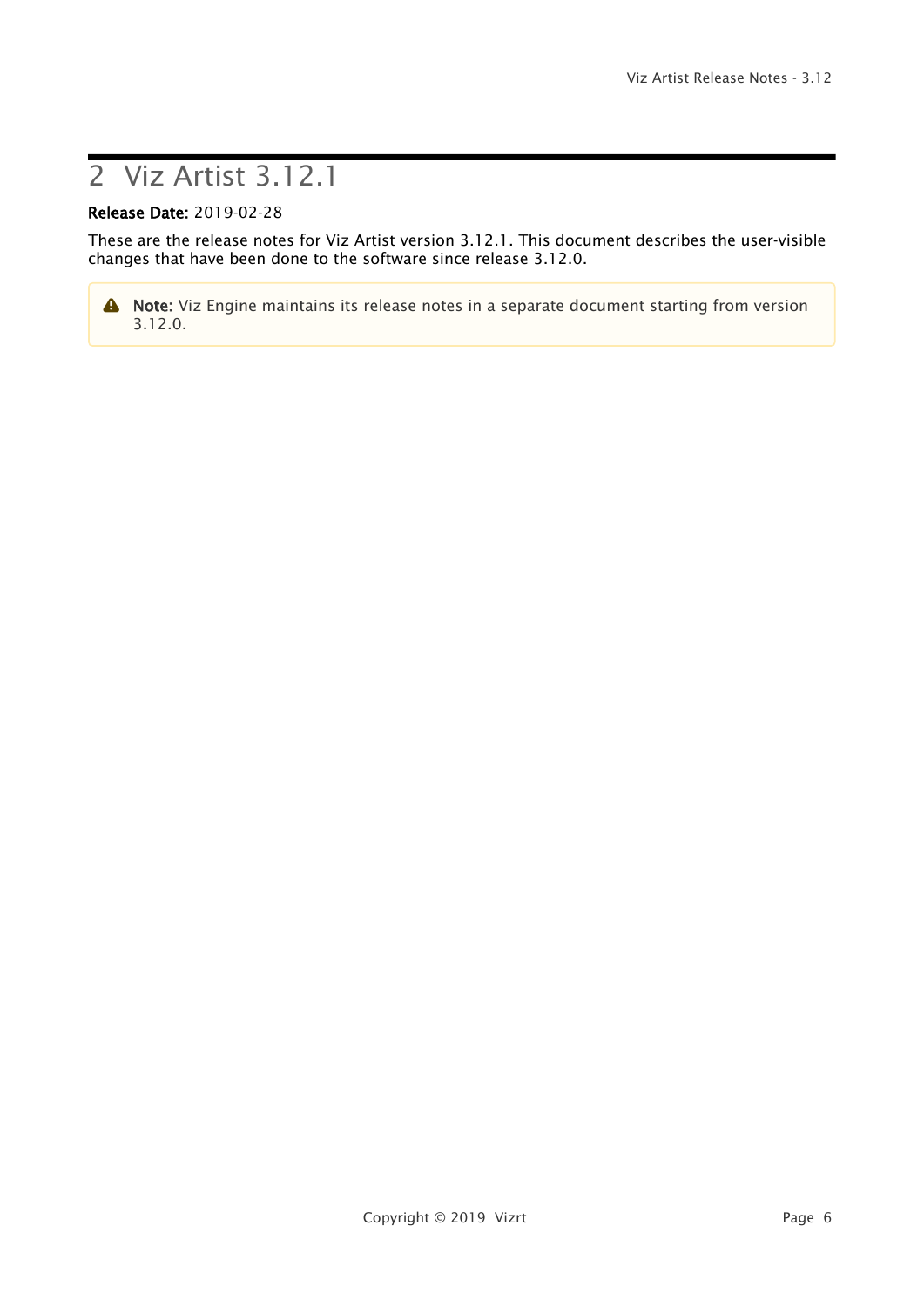# <span id="page-5-0"></span>2 Viz Artist 3.12.1

#### Release Date: 2019-02-28

These are the release notes for Viz Artist version 3.12.1. This document describes the user-visible changes that have been done to the software since release 3.12.0.

A Note: Viz Engine maintains its release notes in a separate document starting from version 3.12.0.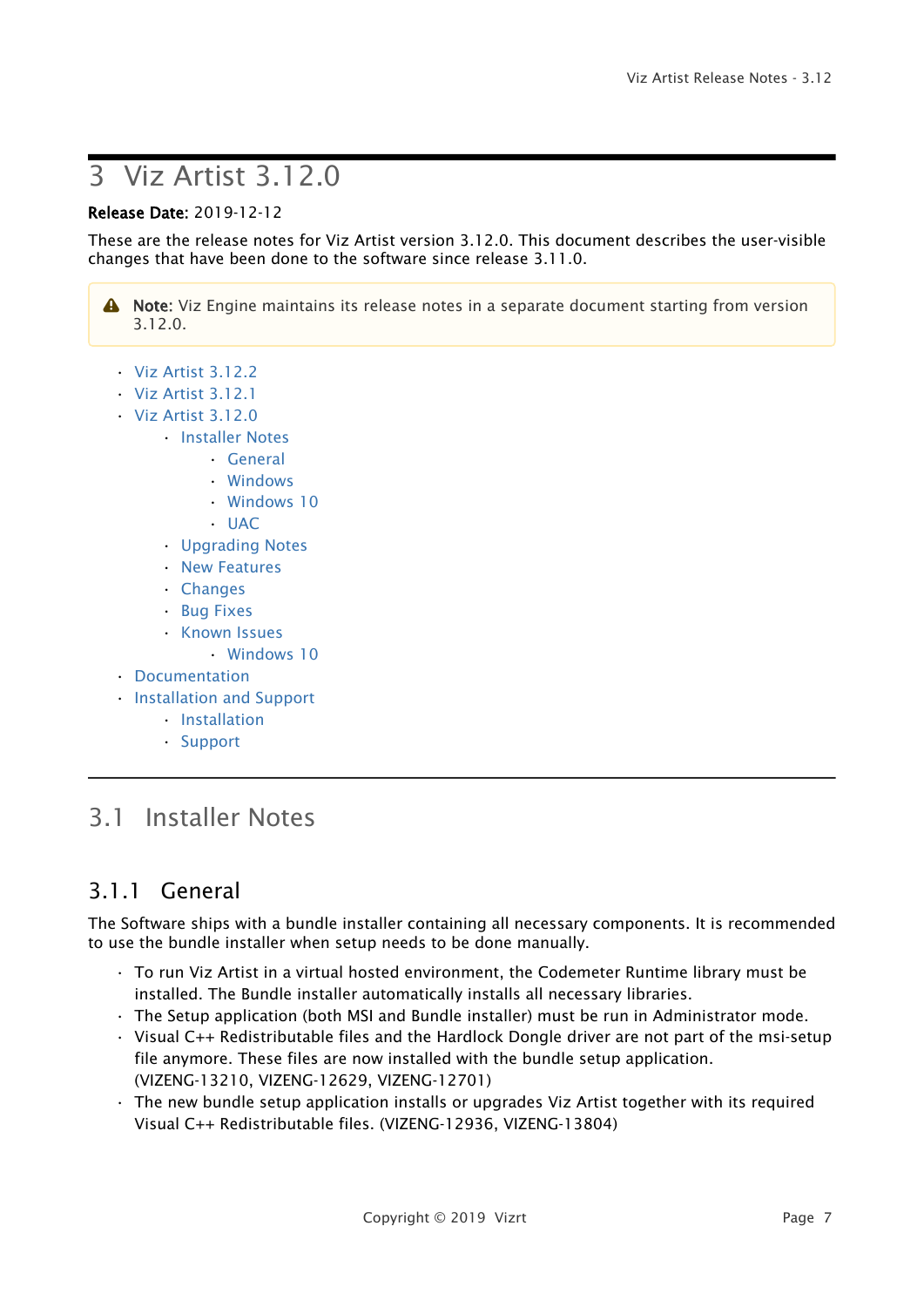# <span id="page-6-0"></span>3 Viz Artist 3.12.0

#### Release Date: 2019-12-12

These are the release notes for Viz Artist version 3.12.0. This document describes the user-visible changes that have been done to the software since release 3.11.0.

A Note: Viz Engine maintains its release notes in a separate document starting from version 3.12.0.

- [Viz Artist 3.12.2](#page-4-0)
- [Viz Artist 3.12.1](#page-5-0)
- [Viz Artist 3.12.0](#page-6-0)
	- [Installer Notes](#page-6-1)
		- [General](#page-6-2)
		- [Windows](#page-7-0)
		- [Windows 10](#page-7-1)
		- [UAC](#page-7-2)
	- [Upgrading Notes](#page-8-0)
	- [New Features](#page-8-1)
	- [Changes](#page-8-2)
	- [Bug Fixes](#page-8-3)
	- [Known Issues](#page-8-4)
		- [Windows 10](#page-9-0)
- [Documentation](#page-10-0)
- [Installation and Support](#page-11-0)
	- [Installation](#page-11-1)
	- [Support](#page-11-2)

## <span id="page-6-1"></span>3.1 Installer Notes

### <span id="page-6-2"></span>3.1.1 General

The Software ships with a bundle installer containing all necessary components. It is recommended to use the bundle installer when setup needs to be done manually.

- To run Viz Artist in a virtual hosted environment, the Codemeter Runtime library must be installed. The Bundle installer automatically installs all necessary libraries.
- The Setup application (both MSI and Bundle installer) must be run in Administrator mode.
- Visual C++ Redistributable files and the Hardlock Dongle driver are not part of the msi-setup file anymore. These files are now installed with the bundle setup application. (VIZENG-13210, VIZENG-12629, VIZENG-12701)
- The new bundle setup application installs or upgrades Viz Artist together with its required Visual C++ Redistributable files. (VIZENG-12936, VIZENG-13804)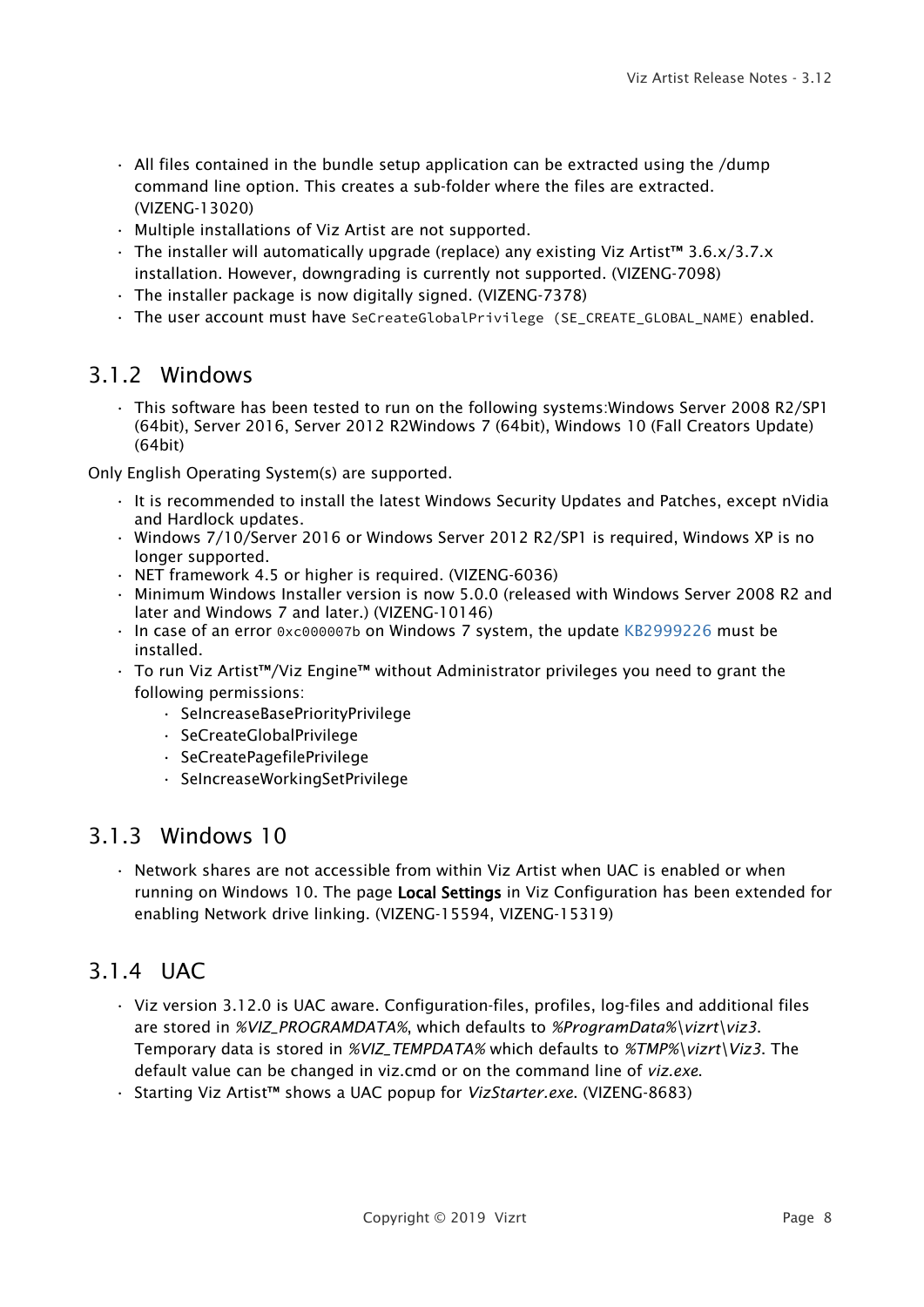- $\cdot$  All files contained in the bundle setup application can be extracted using the /dump command line option. This creates a sub-folder where the files are extracted. (VIZENG-13020)
- Multiple installations of Viz Artist are not supported.
- The installer will automatically upgrade (replace) any existing Viz Artist™ 3.6.x/3.7.x installation. However, downgrading is currently not supported. (VIZENG-7098)
- The installer package is now digitally signed. (VIZENG-7378)
- The user account must have SeCreateGlobalPrivilege (SE\_CREATE\_GLOBAL\_NAME) enabled.

#### <span id="page-7-0"></span>3.1.2 Windows

• This software has been tested to run on the following systems:Windows Server 2008 R2/SP1 (64bit), Server 2016, Server 2012 R2Windows 7 (64bit), Windows 10 (Fall Creators Update) (64bit)

Only English Operating System(s) are supported.

- It is recommended to install the latest Windows Security Updates and Patches, except nVidia and Hardlock updates.
- Windows 7/10/Server 2016 or Windows Server 2012 R2/SP1 is required, Windows XP is no longer supported.
- NET framework 4.5 or higher is required. (VIZENG-6036)
- Minimum Windows Installer version is now 5.0.0 (released with Windows Server 2008 R2 and later and Windows 7 and later.) (VIZENG-10146)
- In case of an error 0xc000007b on Windows 7 system, the update [KB2999226](https://www.microsoft.com/en-us/download/details.aspx?id=49093) must be installed.
- To run Viz Artist™/Viz Engine™ without Administrator privileges you need to grant the following permissions:
	- SeIncreaseBasePriorityPrivilege
	- SeCreateGlobalPrivilege
	- SeCreatePagefilePrivilege
	- SeIncreaseWorkingSetPrivilege

#### <span id="page-7-1"></span>3.1.3 Windows 10

• Network shares are not accessible from within Viz Artist when UAC is enabled or when running on Windows 10. The page Local Settings in Viz Configuration has been extended for enabling Network drive linking. (VIZENG-15594, VIZENG-15319)

### <span id="page-7-2"></span>3.1.4 UAC

- Viz version 3.12.0 is UAC aware. Configuration-files, profiles, log-files and additional files are stored in *%VIZ\_PROGRAMDATA%*, which defaults to *%ProgramData%\vizrt\viz3*. Temporary data is stored in *%VIZ\_TEMPDATA%* which defaults to *%TMP%\vizrt\Viz3*. The default value can be changed in viz.cmd or on the command line of *viz.exe*.
- Starting Viz Artist™ shows a UAC popup for *VizStarter.exe*. (VIZENG-8683)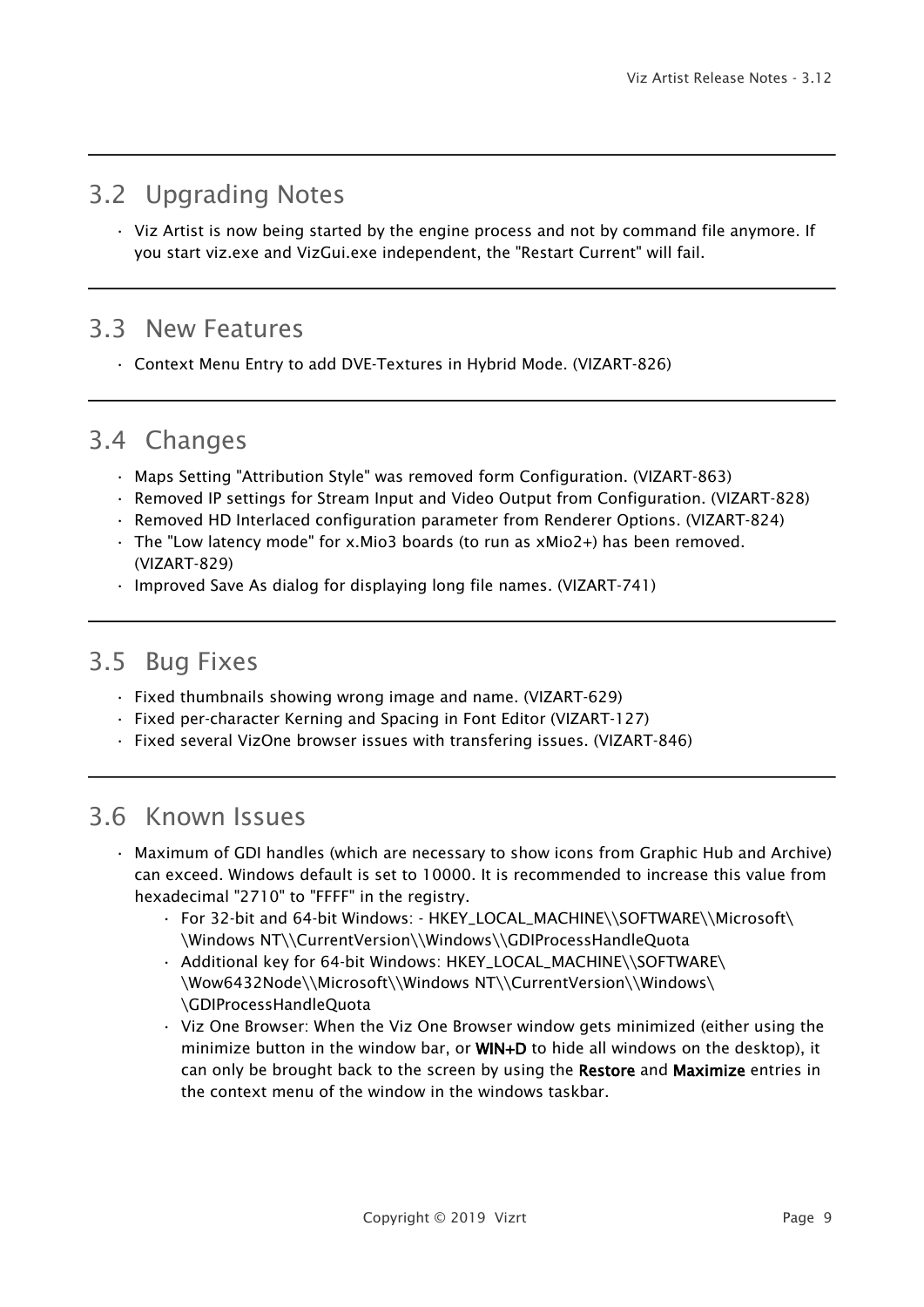### <span id="page-8-0"></span>3.2 Upgrading Notes

• Viz Artist is now being started by the engine process and not by command file anymore. If you start viz.exe and VizGui.exe independent, the "Restart Current" will fail.

### <span id="page-8-1"></span>3.3 New Features

• Context Menu Entry to add DVE-Textures in Hybrid Mode. (VIZART-826)

### <span id="page-8-2"></span>3.4 Changes

- Maps Setting "Attribution Style" was removed form Configuration. (VIZART-863)
- Removed IP settings for Stream Input and Video Output from Configuration. (VIZART-828)
- Removed HD Interlaced configuration parameter from Renderer Options. (VIZART-824)
- The "Low latency mode" for x.Mio3 boards (to run as xMio2+) has been removed. (VIZART-829)
- Improved Save As dialog for displaying long file names. (VIZART-741)

## <span id="page-8-3"></span>3.5 Bug Fixes

- Fixed thumbnails showing wrong image and name. (VIZART-629)
- Fixed per-character Kerning and Spacing in Font Editor (VIZART-127)
- Fixed several VizOne browser issues with transfering issues. (VIZART-846)

### <span id="page-8-4"></span>3.6 Known Issues

- Maximum of GDI handles (which are necessary to show icons from Graphic Hub and Archive) can exceed. Windows default is set to 10000. It is recommended to increase this value from hexadecimal "2710" to "FFFF" in the registry.
	- For 32-bit and 64-bit Windows: HKEY\_LOCAL\_MACHINE\\SOFTWARE\\Microsoft\ \Windows NT\\CurrentVersion\\Windows\\GDIProcessHandleQuota
	- Additional key for 64-bit Windows: HKEY\_LOCAL\_MACHINE\\SOFTWARE\ \Wow6432Node\\Microsoft\\Windows NT\\CurrentVersion\\Windows\ \GDIProcessHandleQuota
	- Viz One Browser: When the Viz One Browser window gets minimized (either using the minimize button in the window bar, or WIN+D to hide all windows on the desktop), it can only be brought back to the screen by using the Restore and Maximize entries in the context menu of the window in the windows taskbar.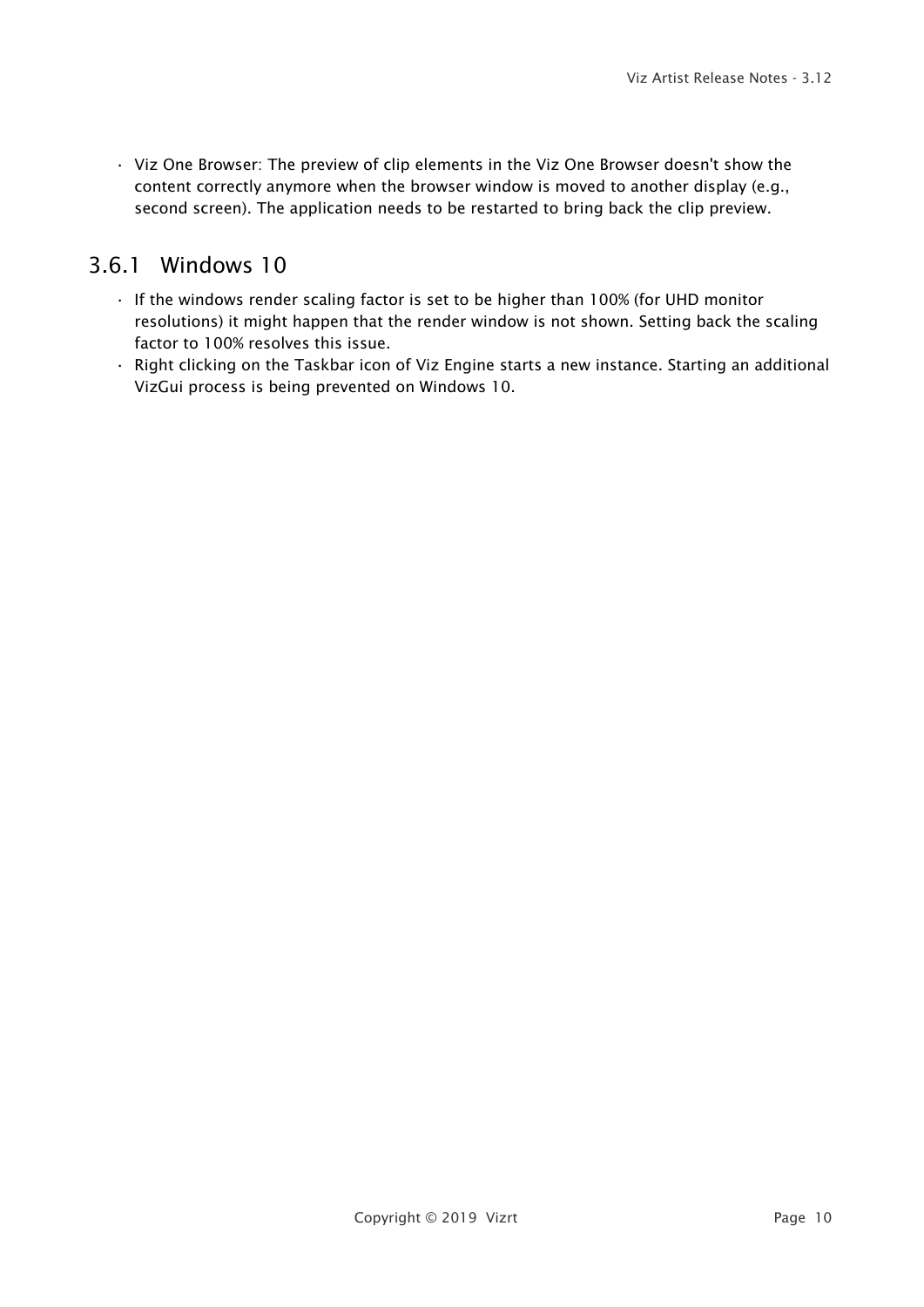• Viz One Browser: The preview of clip elements in the Viz One Browser doesn't show the content correctly anymore when the browser window is moved to another display (e.g., second screen). The application needs to be restarted to bring back the clip preview.

### <span id="page-9-0"></span>3.6.1 Windows 10

- If the windows render scaling factor is set to be higher than 100% (for UHD monitor resolutions) it might happen that the render window is not shown. Setting back the scaling factor to 100% resolves this issue.
- Right clicking on the Taskbar icon of Viz Engine starts a new instance. Starting an additional VizGui process is being prevented on Windows 10.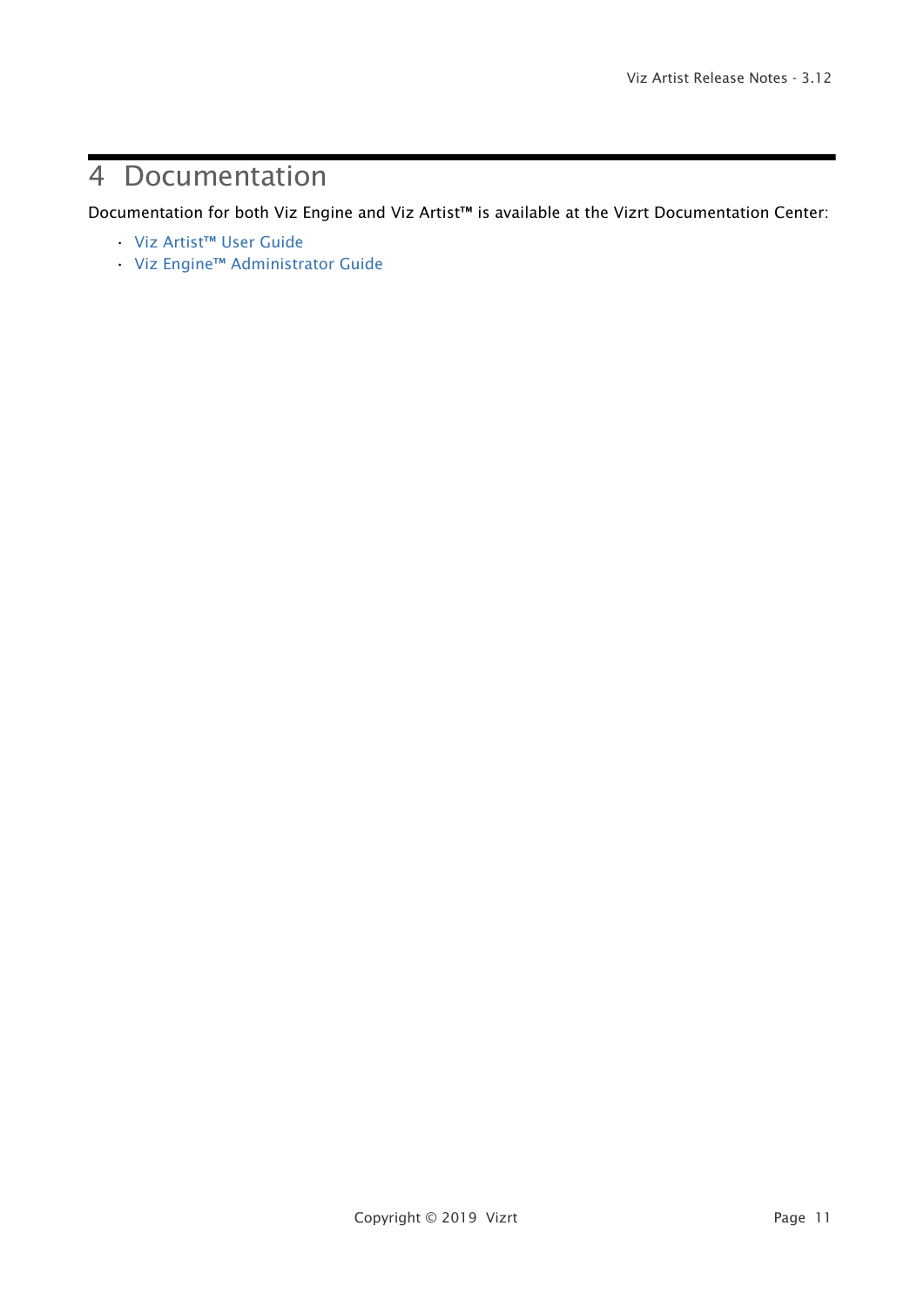# <span id="page-10-0"></span>4 Documentation

Documentation for both Viz Engine and Viz Artist™ is available at the Vizrt Documentation Center:

- [Viz Artist™ User Guide](http://documentation.vizrt.com/viz-artist-guide/3.12/)
- [Viz Engine™ Administrator Guide](http://documentation.vizrt.com/viz-engine-guide/3.12/)